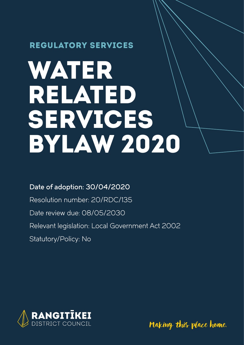### REGULATORY SERVICES

# WATER RELATED SERVICES BYLAW 2020

### Date of adoption: 30/04/2020

Resolution number: 20/RDC/135 Date review due: 08/05/2030 Relevant legislation: Local Government Act 2002 Statutory/Policy: No



Making this place home.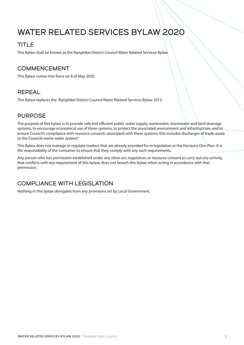## WATER RELATED SERVICES BYLAW 2020

### TITLE

This Bylaw shall be known as the Rangitīkei District Council Water Related Services Bylaw.

### COMMENCEMENT

This Bylaw comes into force on 8 of May 2020.

### REPEAL

This Bylaw replaces the Rangitīkei District Council Water Related Services Bylaw 2013.

### PURPOSE

The purpose of this bylaw is to provide safe and efficient public water supply, wastewater, stormwater and land drainage systems, to encourage economical use of these systems, to protect the associated environment and infrastructure, and to ensure Council's compliance with resource consents associated with these systems, this includes discharges of trade waste to the Councils waste water system."

This Bylaw does not manage or regulate matters that are already provided for in legislation or the Horizons One Plan. It is the responsibility of the consumer to ensure that they comply with any such requirements.

Any person who has permission established under any other act, regulation, or resource consent to carry out any activity, that conflicts with any requirement of this bylaw, does not breach this bylaw when acting in accordance with that permission.

### COMPLIANCE WITH LEGISLATION

Nothing in this bylaw derogates from any provisions set by Local Government.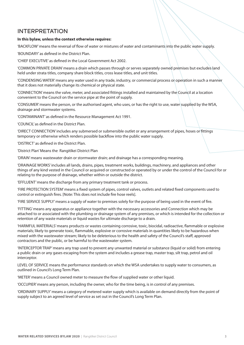### INTERPRETATION

#### **In this bylaw, unless the context otherwise requires:**

'BACKFLOW' means the reversal of flow of water or mixtures of water and contaminants into the public water supply.

'BOUNDARY' as defined in the District Plan.

'CHIEF EXECUTIVE' as defined in the Local Government Act 2002.

'COMMON PRIVATE DRAIN' means a drain which passes through or serves separately owned premises but excludes land held under strata titles, company share block titles, cross lease titles, and unit titles.

'CONDENSING WATER' means any water used in any trade, industry, or commercial process or operation in such a manner that it does not materially change its chemical or physical state.

'CONNECTION' means the valve, meter, and associated fittings installed and maintained by the Council at a location convenient to the Council on the service pipe at the point of supply.

'CONSUMER' means the person, or the authorised agent, who uses, or has the right to use, water supplied by the WSA, drainage and stormwater systems.

'CONTAMINANT' as defined in the Resource Management Act 1991.

'COUNCIL' as defined in the District Plan.

'DIRECT CONNECTION' includes any submersed or submersible outlet or any arrangement of pipes, hoses or fittings temporary or otherwise which renders possible backflow into the public water supply.

'DISTRICT' as defined in the District Plan.

'District Plan' Means the Rangitīkei District Plan

'DRAIN' means wastewater drain or stormwater drain; and drainage has a corresponding meaning.

'DRAINAGE WORKS' includes all lands, drains, pipes, treatment works, buildings, machinery, and appliances and other things of any kind vested in the Council or acquired or constructed or operated by or under the control of the Council for or relating to the purpose of drainage, whether within or outside the district.

'EFFLUENT' means the discharge from any primary treatment tank or process.

'FIRE PROTECTION SYSTEM' means a fixed system of pipes, control valves, outlets and related fixed components used to control or extinguish fires. [Note: This does not include fire hose reels].

'FIRE SERVICE SUPPLY' means a supply of water to premises solely for the purpose of being used in the event of fire.

'FITTING' means any apparatus or appliance together with the necessary accessories and Connection which may be attached to or associated with the plumbing or drainage system of any premises, or which is intended for the collection or retention of any waste materials or liquid wastes for ultimate discharge to a drain.

'HARMFUL MATERIALS' means products or wastes containing corrosive, toxic, biocidal, radioactive, flammable or explosive materials; likely to generate toxic, flammable, explosive or corrosive materials in quantities likely to be hazardous when mixed with the wastewater stream; likely to be deleterious to the health and safety of the Council's staff, approved contractors and the public, or be harmful to the wastewater system.

'INTERCEPTOR TRAP' means any trap used to prevent any unwanted material or substance (liquid or solid) from entering a public drain or any gases escaping from the system and includes a grease trap, master trap, silt trap, petrol and oil interceptor.

LEVEL OF SERVICE means the performance standards on which the WSA undertakes to supply water to consumers, as outlined in Council's Long Term Plan.

'METER' means a Council owned meter to measure the flow of supplied water or other liquid.

'OCCUPIER' means any person, including the owner, who for the time being, is in control of any premises.

'ORDINARY SUPPLY' means a category of metered water supply which is available on demand directly from the point of supply subject to an agreed level of service as set out in the Council's Long Term Plan.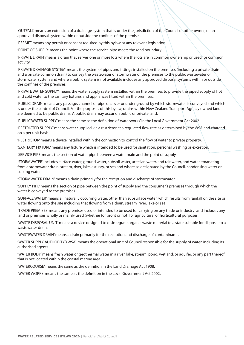'OUTFALL' means an extension of a drainage system that is under the jurisdiction of the Council or other owner, or an approved disposal system within or outside the confines of the premises.

'PERMIT' means any permit or consent required by this bylaw or any relevant legislation.

'POINT OF SUPPLY' means the point where the service pipe meets the road boundary.

'PRIVATE DRAIN' means a drain that serves one or more lots where the lots are in common ownership or used for common activity.

'PRIVATE DRAINAGE SYSTEM' means the system of pipes and fittings installed on the premises (including a private drain and a private common drain) to convey the wastewater or stormwater of the premises to the public wastewater or stormwater system and where a public system is not available includes any approved disposal systems within or outside the confines of the premises.

'PRIVATE WATER SUPPLY' means the water supply system installed within the premises to provide the piped supply of hot and cold water to the sanitary fixtures and appliances fitted within the premises.

'PUBLIC DRAIN' means any passage, channel or pipe on, over or under ground by which stormwater is conveyed and which is under the control of Council. For the purposes of this bylaw, drains within New Zealand Transport Agency owned land are deemed to be public drains. A public drain may occur on public or private land.

'PUBLIC WATER SUPPLY' means the same as the definition of 'waterworks' in the Local Government Act 2002.

'RESTRICTED SUPPLY' means water supplied via a restrictor at a regulated flow rate as determined by the WSA and charged on a per unit basis.

'RESTRICTOR' means a device installed within the connection to control the flow of water to private property.

'SANITARY FIXTURE' means any fixture which is intended to be used for sanitation, personal washing or excretion.

'SERVICE PIPE' means the section of water pipe between a water main and the point of supply.

'STORMWATER' includes surface water, ground water, subsoil water, artesian water, and rainwater, and water emanating from a stormwater drain, stream, river, lake, estuary, or sea and where so designated by the Council, condensing water or cooling water.

'STORMWATER DRAIN' means a drain primarily for the reception and discharge of stormwater.

'SUPPLY PIPE' means the section of pipe between the point of supply and the consumer's premises through which the water is conveyed to the premises.

'SURFACE WATER' means all naturally occurring water, other than subsurface water, which results from rainfall on the site or water flowing onto the site including that flowing from a drain, stream, river, lake or sea.

'TRADE PREMISES' means any premises used or intended to be used for carrying on any trade or industry; and includes any land or premises wholly or mainly used (whether for profit or not) for agricultural or horticultural purposes.

'WASTE DISPOSAL UNIT' means a device designed to disintegrate organic waste material to a state suitable for disposal to a wastewater drain.

'WASTEWATER DRAIN' means a drain primarily for the reception and discharge of contaminants.

'WATER SUPPLY AUTHORITY' (WSA) means the operational unit of Council responsible for the supply of water, including its authorised agents.

'WATER BODY' means fresh water or geothermal water in a river, lake, stream, pond, wetland, or aquifer, or any part thereof, that is not located within the coastal marine area.

'WATERCOURSE' means the same as the definition in the Land Drainage Act 1908.

'WATER WORKS' means the same as the definition in the Local Government Act 2002.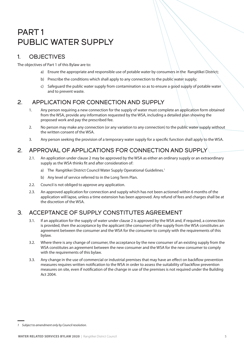### PART 1 PUBLIC WATER SUPPLY

### 1. OBJECTIVES

The objectives of Part 1 of this Bylaw are to:

- a) Ensure the appropriate and responsible use of potable water by consumers in the Rangitīkei District;
- b) Prescribe the conditions which shall apply to any connection to the public water supply;
- c) Safeguard the public water supply from contamination so as to ensure a good supply of potable water and to prevent waste.

### 2. APPLICATION FOR CONNECTION AND SUPPLY

- 1. Any person requiring a new connection for the supply of water must complete an application form obtained from the WSA, provide any information requested by the WSA, including a detailed plan showing the proposed work and pay the prescribed fee.
- 2. No person may make any connection (or any variation to any connection) to the public water supply without the written consent of the WSA.
- 3. Any person seeking the provision of a temporary water supply for a specific function shall apply to the WSA.

### 2. APPROVAL OF APPLICATIONS FOR CONNECTION AND SUPPLY

- 2.1. An application under clause 2 may be approved by the WSA as either an ordinary supply or an extraordinary supply as the WSA thinks fit and after consideration of:
	- a) The Rangitikei District Council Water Supply Operational Guidelines.<sup>1</sup>
	- b) Any level of service referred to in the Long Term Plan.
- 2.2. Council is not obliged to approve any application.
- 2.3. An approved application for connection and supply which has not been actioned within 6 months of the application will lapse, unless a time extension has been approved. Any refund of fees and charges shall be at the discretion of the WSA.

### 3. ACCEPTANCE OF SUPPLY CONSTITUTES AGREEMENT

- 3.1. If an application for the supply of water under clause 2 is approved by the WSA and, if required, a connection is provided, then the acceptance by the applicant (the consumer) of the supply from the WSA constitutes an agreement between the consumer and the WSA for the consumer to comply with the requirements of this bylaw.
- 3.2. Where there is any change of consumer, the acceptance by the new consumer of an existing supply from the WSA constitutes an agreement between the new consumer and the WSA for the new consumer to comply with the requirements of this bylaw.
- 3.3. Any change in the use of commercial or industrial premises that may have an effect on backflow prevention measures requires written notification to the WSA in order to assess the suitability of backflow prevention measures on site, even if notification of the change in use of the premises is not required under the Building Act 2004.

*<sup>1</sup> Subject to amendment only by Council resolution.*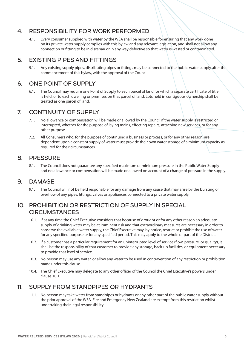### 4. RESPONSIBILITY FOR WORK PERFORMED

4.1. Every consumer supplied with water by the WSA shall be responsible for ensuring that any work done on its private water supply complies with this bylaw and any relevant legislation, and shall not allow any connection or fitting to be in disrepair or in any way defective so that water is wasted or contaminated.

#### 5. EXISTING PIPES AND FITTINGS

5.1. Any existing supply pipes, distributing pipes or fittings may be connected to the public water supply after the commencement of this bylaw, with the approval of the Council.

### 6. ONE POINT OF SUPPLY

6.1. The Council may require one Point of Supply to each parcel of land for which a separate certificate of title is held, or to each dwelling or premises on that parcel of land. Lots held in contiguous ownership shall be treated as one parcel of land.

### 7. CONTINUITY OF SUPPLY

- 7.1. No allowance or compensation will be made or allowed by the Council if the water supply is restricted or interrupted, whether for the purpose of laying mains, effecting repairs, attaching new services, or for any other purpose.
- 7.2. All Consumers who, for the purpose of continuing a business or process, or for any other reason, are dependent upon a constant supply of water must provide their own water storage of a minimum capacity as required for their circumstances.

### 8. PRESSURE

8.1. The Council does not guarantee any specified maximum or minimum pressure in the Public Water Supply and no allowance or compensation will be made or allowed on account of a change of pressure in the supply.

#### 9. DAMAGE

9.1. The Council will not be held responsible for any damage from any cause that may arise by the bursting or overflow of any pipes, fittings, valves or appliances connected to a private water supply.

### 10. PROHIBITION OR RESTRICTION OF SUPPLY IN SPECIAL **CIRCUMSTANCES**

- 10.1. If at any time the Chief Executive considers that because of drought or for any other reason an adequate supply of drinking water may be at imminent risk and that extraordinary measures are necessary in order to conserve the available water supply, the Chief Executive may, by notice, restrict or prohibit the use of water for any specified purpose or for any specified period. This may apply to the whole or part of the District.
- 10.2. If a customer has a particular requirement for an uninterrupted level of service (flow, pressure, or quality), it shall be the responsibility of that customer to provide any storage, back-up facilities, or equipment necessary to provide that level of service.
- 10.3. No person may use any water, or allow any water to be used in contravention of any restriction or prohibition made under this clause.
- 10.4. The Chief Executive may delegate to any other officer of the Council the Chief Executive's powers under clause 10.1.

### 11. SUPPLY FROM STANDPIPES OR HYDRANTS

11.1. No person may take water from standpipes or hydrants or any other part of the public water supply without the prior approval of the WSA. Fire and Emergency New Zealand are exempt from this restriction whilst undertaking their legal responsibility.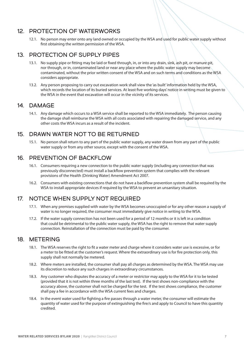### 12. PROTECTION OF WATERWORKS

12.1. No person may enter onto any land owned or occupied by the WSA and used for public water supply without first obtaining the written permission of the WSA.

### 13. PROTECTION OF SUPPLY PIPES

- 13.1. No supply pipe or fitting may be laid or fixed through, in, or into any drain, sink, ash pit, or manure pit, nor through, or in, contaminated land or near any place where the public water supply may become contaminated, without the prior written consent of the WSA and on such terms and conditions as the WSA considers appropriate.
- 13.2. Any person proposing to carry out excavation work shall view the 'as built' information held by the WSA, which records the location of its buried services. At least five working days' notice in writing must be given to the WSA in the event that excavation will occur in the vicinity of its services.

### 14. DAMAGE

14.1. Any damage which occurs to a WSA service shall be reported to the WSA immediately. The person causing the damage shall reimburse the WSA with all costs associated with repairing the damaged service, and any other costs the WSA incurs as a result of the incident.

### 15. DRAWN WATER NOT TO BE RETURNED

15.1. No person shall return to any part of the public water supply, any water drawn from any part of the public water supply or from any other source, except with the consent of the WSA.

### 16. PREVENTION OF BACKFLOW

- 16.1. Consumers requiring a new connection to the public water supply (including any connection that was previously disconnected) must install a backflow prevention system that complies with the relevant provisions of the Health (Drinking Water) Amendment Act 2007.
- 16.2. Consumers with existing connections that do not have a backflow prevention system shall be required by the WSA to install appropriate devices if required by the WSA to prevent an unsanitary situation.

### 17. NOTICE WHEN SUPPLY NOT REQUIRED

- 17.1. When any premises supplied with water by the WSA becomes unoccupied or for any other reason a supply of water is no longer required, the consumer must immediately give notice in writing to the WSA.
- 17.2. If the water supply connection has not been used for a period of 12 months or it is left in a condition that could be detrimental to the public water supply, the WSA has the right to remove that water supply connection. Reinstallation of the connection must be paid by the consumer.

### 18. METERING

- 18.1. The WSA reserves the right to fit a water meter and charge where it considers water use is excessive, or for a meter to be fitted at the customer's request. Where the extraordinary use is for fire protection only, this supply shall not normally be metered.
- 18.2. Where meters are installed, the consumer shall pay all charges as determined by the WSA. The WSA may use its discretion to reduce any such charges in extraordinary circumstances.
- 18.3. Any customer who disputes the accuracy of a meter or restrictor may apply to the WSA for it to be tested (provided that it is not within three months of the last test). If the test shows non-compliance with the accuracy above, the customer shall not be charged for the test. If the test shows compliance, the customer shall pay a fee in accordance with the WSA current fees and charges.
- 18.4. In the event water used for fighting a fire passes through a water meter, the consumer will estimate the quantity of water used for the purpose of extinguishing the fire/s and apply to Council to have this quantity credited.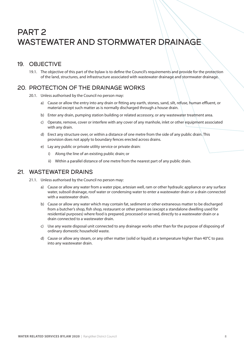### PART 2 WASTEWATER AND STORMWATER DRAINAGE

### 19. OBJECTIVE

19.1. The objective of this part of the bylaw is to define the Council's requirements and provide for the protection of the land, structures, and infrastructure associated with wastewater drainage and stormwater drainage.

### 20. PROTECTION OF THE DRAINAGE WORKS

- 20.1. Unless authorised by the Council no person may:
	- a) Cause or allow the entry into any drain or fitting any earth, stones, sand, silt, refuse, human effluent, or material except such matter as is normally discharged through a house drain.
	- b) Enter any drain, pumping station building or related accessory, or any wastewater treatment area.
	- c) Operate, remove, cover or interfere with any cover of any manhole, inlet or other equipment associated with any drain.
	- d) Erect any structure over, or within a distance of one metre from the side of any public drain. This provision does not apply to boundary fences erected across drains.
	- e) Lay any public or private utility service or private drain:
		- i) Along the line of an existing public drain; or
		- ii) Within a parallel distance of one metre from the nearest part of any public drain.

#### 21. WASTEWATER DRAINS

- 21.1. Unless authorised by the Council no person may:
	- a) Cause or allow any water from a water pipe, artesian well, ram or other hydraulic appliance or any surface water, subsoil drainage, roof water or condensing water to enter a wastewater drain or a drain connected with a wastewater drain.
	- b) Cause or allow any water which may contain fat, sediment or other extraneous matter to be discharged from a butcher's shop, fish shop, restaurant or other premises (except a standalone dwelling used for residential purposes) where food is prepared, processed or served, directly to a wastewater drain or a drain connected to a wastewater drain.
	- c) Use any waste disposal unit connected to any drainage works other than for the purpose of disposing of ordinary domestic household waste.
	- d) Cause or allow any steam, or any other matter (solid or liquid) at a temperature higher than 40°C to pass into any wastewater drain.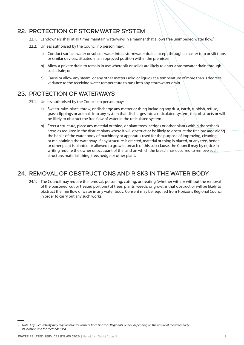### 22. PROTECTION OF STORMWATER SYSTEM

- 22.1. Landowners shall at all times maintain waterways in a manner that allows free unimpeded water flow.<sup>2</sup>
- 22.2. Unless authorised by the Council no person may:
	- a) Conduct surface water or subsoil water into a stormwater drain, except through a master trap or silt traps, or similar devices, situated in an approved position within the premises;
	- b) Allow a private drain to remain in use where silt or solids are likely to enter a stormwater drain through such drain; or
	- c) Cause or allow any steam, or any other matter (solid or liquid) at a temperature of more than 3 degrees variance to the receiving water temperature to pass into any stormwater drain.

### 23. PROTECTION OF WATERWAYS

- 23.1. Unless authorised by the Council no person may:
	- a) Sweep, rake, place, throw, or discharge any matter or thing including any dust, earth, rubbish, refuse, grass clippings or animals into any system that discharges into a reticulated system, that obstructs or will be likely to obstruct the free flow of water in the reticulated system.
	- b) Erect a structure, place any material or thing, or plant trees, hedges or other plants within the setback areas as required in the district plans where it will obstruct or be likely to obstruct the free passage along the banks of the water body of machinery or apparatus used for the purpose of improving, cleaning or maintaining the waterway. If any structure is erected, material or thing is placed, or any tree, hedge or other plant is planted or allowed to grow in breach of this sub-clause, the Council may by notice in writing require the owner or occupant of the land on which the breach has occurred to remove such structure, material, thing, tree, hedge or other plant.

### 24. REMOVAL OF OBSTRUCTIONS AND RISKS IN THE WATER BODY

24.1. The Council may require the removal, poisoning, cutting, or treating (whether with or without the removal of the poisoned, cut or treated portions) of trees, plants, weeds, or growths that obstruct or will be likely to obstruct the free flow of water in any water body. Consent may be required from Horizons Regional Council in order to carry out any such works.

*<sup>2</sup> Note: Any such activity may require resource consent from Horizons Regional Council, depending on the nature of the water body, its location and the methods used.*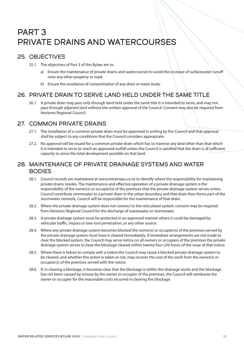### PART 3 PRIVATE DRAINS AND WATERCOURSES

### 25. OBJECTIVES

- 25.1. The objectives of Part 3 of this Bylaw are to:
	- a) Ensure the maintenance of private drains and watercourses to avoid the increase of surfacewater runoff onto any other property or road;
	- b) Ensure the avoidance of contamination of any drain or water body.

### 26. PRIVATE DRAIN TO SERVE LAND HELD UNDER THE SAME TITLE

26.1. A private drain may pass only through land held under the same title it is intended to serve, and may not pass through adjacent land without the written approval of the Council. Consent may also be required from Horizons Regional Council.

### 27. COMMON PRIVATE DRAINS

- 27.1. The installation of a common private drain must be approved in writing by the Council and that approval shall be subject to any conditions that the Council considers appropriate.
- 27.2. No approval will be issued for a common private drain which has to traverse any land other than that which it is intended to serve to reach an approved outfall unless the Council is satisfied that the drain is of sufficient capacity to serve the total development possible on that land.

### 28. MAINTENANCE OF PRIVATE DRAINAGE SYSTEMS AND WATER BODIES

- 28.1. Council records are maintained at www.intramaps.co.nz to identify where the responsibility for maintaining private drains resides. The maintenance and effective operation of a private drainage system is the responsibility of the owner(s) or occupier(s) of the premises that the private drainage system serves unless Council contribute stormwater to a private drain in the urban boundary and that drain then forms part of the stormwater network, Council will be responsible for the maintenance of that drain.
- 28.2. Where the private drainage system does not connect to the reticulated system, consent may be required from Horizons Regional Council for the discharge of wastewater or stormwater.
- 28.3. A private drainage system must be protected in an approved manner where it could be damaged by vehicular traffic, impact or tree root penetration, or any other source.
- 28.4. Where any private drainage system becomes blocked the owner(s) or occupier(s) of the premises served by the private drainage system must have it cleared immediately. If immediate arrangements are not made to clear the blocked system, the Council may serve notice on all owners or occupiers of the premises the private drainage system serves to have the blockage cleared within twenty four (24) hours of the issue of that notice.
- 28.5. Where there is failure to comply with a notice the Council may cause a blocked private drainage system to be cleared, and whether this action is taken or not, may recover the cost of the work from the owner(s) or occupier(s) of the premises served with the notice.
- 28.6. If, in clearing a blockage, it becomes clear that the blockage is within the drainage works and the blockage has not been caused by misuse by the owner or occupier of the premises, the Council will reimburse the owner or occupier for the reasonable costs incurred in clearing the blockage.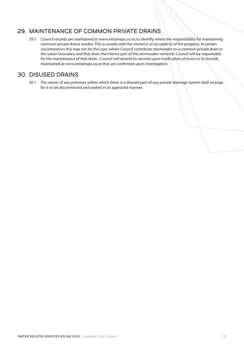### 29. MAINTENANCE OF COMMON PRIVATE DRAINS

29.1. Council records are maintained at www.intramaps.co.nz to identify where the responsibility for maintaining common private drains resides. This is usually with the owner(s) or occupier(s) of the property. In certain circumstances this may not be the case, where Council contribute stormwater to a common private drain in the urban boundary and that drain then forms part of the stormwater network, Council will be responsible for the maintenance of that drain. Council will amend its records upon notification of errors in its records maintained at www.intramaps.co.nz that are confirmed upon investigation.

### 30. DISUSED DRAINS

30.1. The owner of any premises within which there is a disused part of any private drainage system shall arrange for it to be disconnected and sealed in an approved manner.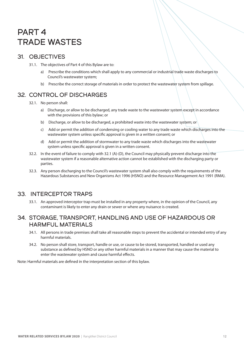### PART 4 TRADE WASTES

### 31. OBJECTIVES

- 31.1. The objectives of Part 4 of this Bylaw are to:
	- a) Prescribe the conditions which shall apply to any commercial or industrial trade waste discharges to Council's wastewater system;
	- b) Prescribe the correct storage of materials in order to protect the wastewater system from spillage.

### 32. CONTROL OF DISCHARGES

- 32.1. No person shall:
	- a) Discharge, or allow to be discharged, any trade waste to the wastewater system except in accordance with the provisions of this bylaw; or
	- b) Discharge, or allow to be discharged, a prohibited waste into the wastewater system; or
	- c) Add or permit the addition of condensing or cooling water to any trade waste which discharges into the wastewater system unless specific approval is given in a written consent; or
	- d) Add or permit the addition of stormwater to any trade waste which discharges into the wastewater system unless specific approval is given in a written consent.
- 32.2. In the event of failure to comply with 32.1 (A)-(D), the Council may physically prevent discharge into the wastewater system if a reasonable alternative action cannot be established with the discharging party or parties.
- 32.3. Any person discharging to the Council's wastewater system shall also comply with the requirements of the Hazardous Substances and New Organisms Act 1996 (HSNO) and the Resource Management Act 1991 (RMA).

### 33. INTERCEPTOR TRAPS

33.1. An approved interceptor trap must be installed in any property where, in the opinion of the Council, any contaminant is likely to enter any drain or sewer or where any nuisance is created.

### 34. STORAGE, TRANSPORT, HANDLING AND USE OF HAZARDOUS OR HARMFUL MATERIALS

- 34.1. All persons in trade premises shall take all reasonable steps to prevent the accidental or intended entry of any harmful materials.
- 34.2. No person shall store, transport, handle or use, or cause to be stored, transported, handled or used any substance as defined by HSNO or any other harmful materials in a manner that may cause the material to enter the wastewater system and cause harmful effects.

Note: Harmful materials are defined in the interpretation section of this bylaw.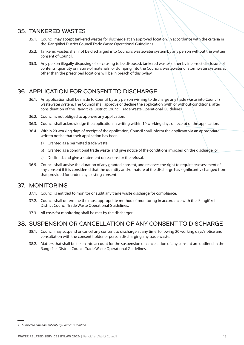#### 35. TANKERED WASTES

- 35.1. Council may accept tankered wastes for discharge at an approved location, in accordance with the criteria in the Rangitīkei District Council Trade Waste Operational Guidelines.
- 35.2. Tankered wastes shall not be discharged into Council's wastewater system by any person without the written consent of Council.
- 35.3. Any person illegally disposing of, or causing to be disposed, tankered wastes either by incorrect disclosure of contents (quantity or nature of materials) or dumping into the Council's wastewater or stormwater systems at other than the prescribed locations will be in breach of this bylaw.

### 36. APPLICATION FOR CONSENT TO DISCHARGE

- 36.1. An application shall be made to Council by any person wishing to discharge any trade waste into Council's wastewater system. The Council shall approve or decline the application (with or without conditions) after consideration of the Rangitīkei District Council Trade Waste Operational Guidelines.
- 36.2. Council is not obliged to approve any application.
- 36.3. Council shall acknowledge the application in writing within 10 working days of receipt of the application.
- 36.4. Within 20 working days of receipt of the application, Council shall inform the applicant via an appropriate written notice that their application has been:
	- a) Granted as a permitted trade waste;
	- b) Granted as a conditional trade waste, and give notice of the conditions imposed on the discharge; or
	- c) Declined, and give a statement of reasons for the refusal.
- 36.5. Council shall advise the duration of any granted consent, and reserves the right to require reassessment of any consent if it is considered that the quantity and/or nature of the discharge has significantly changed from that provided for under any existing consent.

#### 37. MONITORING

- 37.1. Council is entitled to monitor or audit any trade waste discharge for compliance.
- 37.2. Council shall determine the most appropriate method of monitoring in accordance with the Rangitīkei District Council Trade Waste Operational Guidelines.
- 37.3. All costs for monitoring shall be met by the discharger.

### 38. SUSPENSION OR CANCELLATION OF ANY CONSENT TO DISCHARGE

- 38.1. Council may suspend or cancel any consent to discharge at any time, following 20 working days' notice and consultation with the consent holder or person discharging any trade waste.
- 38.2. Matters that shall be taken into account for the suspension or cancellation of any consent are outlined in the Rangitīkei District Council Trade Waste Operational Guidelines.

*<sup>3</sup> Subject to amendment only by Council resolution.*